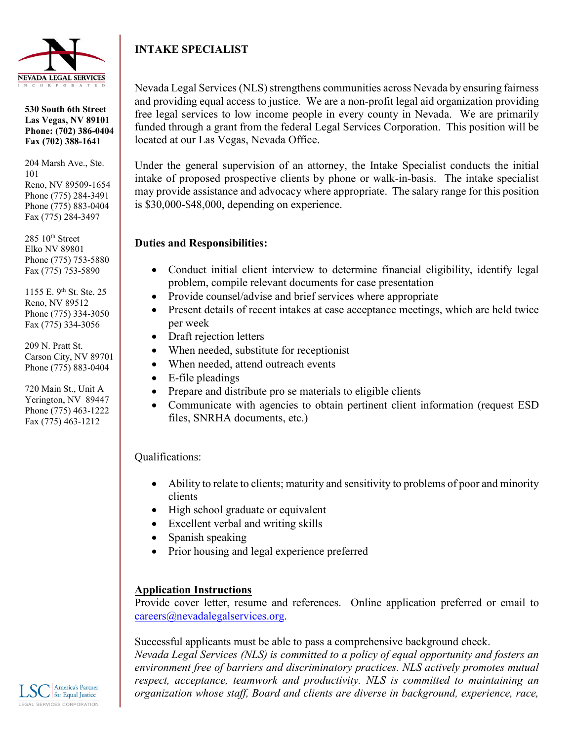

**530 South 6th Street Las Vegas, NV 89101 Phone: (702) 386-0404 Fax (702) 388-1641**

204 Marsh Ave., Ste. 101 Reno, NV 89509-1654 Phone (775) 284-3491 Phone (775) 883-0404 Fax (775) 284-3497

 $285$   $10^{th}$  Street Elko NV 89801 Phone (775) 753-5880 Fax (775) 753-5890

1155 E. 9th St. Ste. 25 Reno, NV 89512 Phone (775) 334-3050 Fax (775) 334-3056

209 N. Pratt St. Carson City, NV 89701 Phone (775) 883-0404

720 Main St., Unit A Yerington, NV 89447 Phone (775) 463-1222 Fax (775) 463-1212

## **INTAKE SPECIALIST**

Nevada Legal Services (NLS) strengthens communities across Nevada by ensuring fairness and providing equal access to justice. We are a non-profit legal aid organization providing free legal services to low income people in every county in Nevada. We are primarily funded through a grant from the federal Legal Services Corporation. This position will be located at our Las Vegas, Nevada Office.

Under the general supervision of an attorney, the Intake Specialist conducts the initial intake of proposed prospective clients by phone or walk-in-basis. The intake specialist may provide assistance and advocacy where appropriate. The salary range for this position is \$30,000-\$48,000, depending on experience.

## **Duties and Responsibilities:**

- Conduct initial client interview to determine financial eligibility, identify legal problem, compile relevant documents for case presentation
- Provide counsel/advise and brief services where appropriate
- Present details of recent intakes at case acceptance meetings, which are held twice per week
- Draft rejection letters
- When needed, substitute for receptionist
- When needed, attend outreach events
- E-file pleadings
- Prepare and distribute pro se materials to eligible clients
- Communicate with agencies to obtain pertinent client information (request ESD files, SNRHA documents, etc.)

## Qualifications:

- Ability to relate to clients; maturity and sensitivity to problems of poor and minority clients
- High school graduate or equivalent
- Excellent verbal and writing skills
- Spanish speaking
- Prior housing and legal experience preferred

## **Application Instructions**

Provide cover letter, resume and references. Online application preferred or email to [careers@nevadalegalservices.org.](mailto:careers@nevadalegalservices.org)

Successful applicants must be able to pass a comprehensive background check.

*Nevada Legal Services (NLS) is committed to a policy of equal opportunity and fosters an environment free of barriers and discriminatory practices. NLS actively promotes mutual respect, acceptance, teamwork and productivity. NLS is committed to maintaining an organization whose staff, Board and clients are diverse in background, experience, race,*